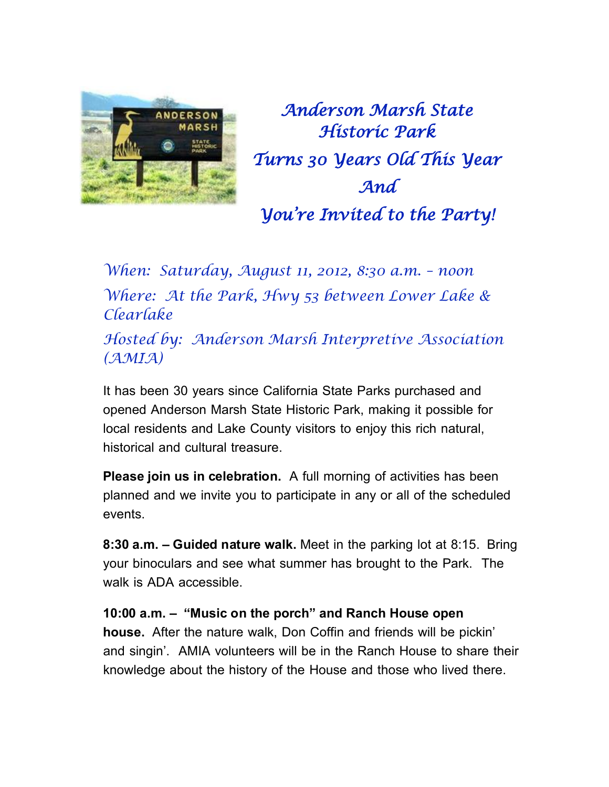

*Anderson Marsh State Historic Park Turns 30 Years Old This Year And You're Invited to the Party!* 

*When: Saturday, August 11, 2012, 8:30 a.m. – noon Where: At the Park, Hwy 53 between Lower Lake & Clearlake*

*Hosted by: Anderson Marsh Interpretive Association (AMIA)* 

It has been 30 years since California State Parks purchased and opened Anderson Marsh State Historic Park, making it possible for local residents and Lake County visitors to enjoy this rich natural, historical and cultural treasure.

**Please join us in celebration.** A full morning of activities has been planned and we invite you to participate in any or all of the scheduled events.

**8:30 a.m. – Guided nature walk.** Meet in the parking lot at 8:15. Bring your binoculars and see what summer has brought to the Park. The walk is ADA accessible.

**10:00 a.m. – "Music on the porch" and Ranch House open house.** After the nature walk, Don Coffin and friends will be pickin' and singin'. AMIA volunteers will be in the Ranch House to share their knowledge about the history of the House and those who lived there.